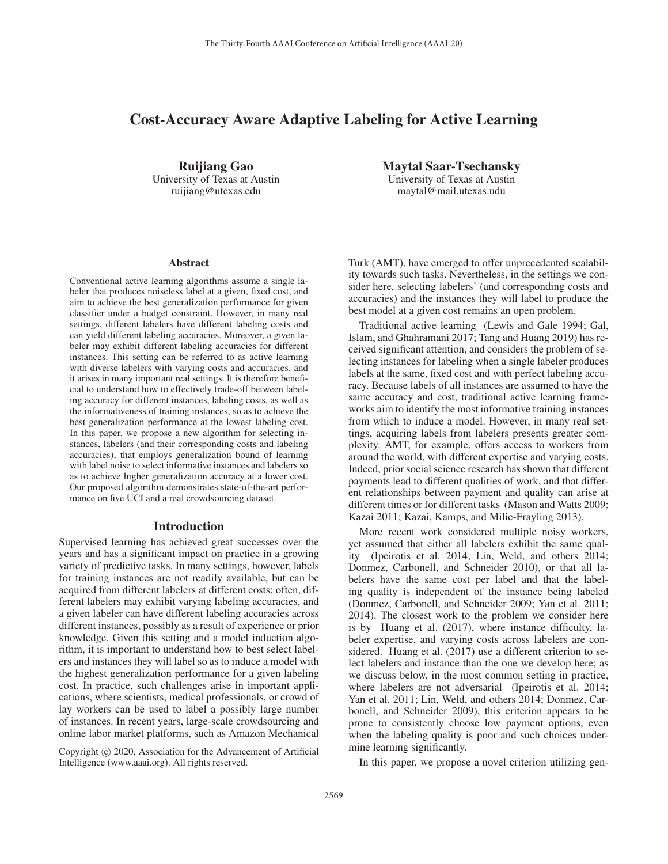# Cost-Accuracy Aware Adaptive Labeling for Active Learning

Ruijiang Gao University of Texas at Austin ruijiang@utexas.edu

Maytal Saar-Tsechansky University of Texas at Austin maytal@mail.utexas.udu

#### Abstract

Conventional active learning algorithms assume a single labeler that produces noiseless label at a given, fixed cost, and aim to achieve the best generalization performance for given classifier under a budget constraint. However, in many real settings, different labelers have different labeling costs and can yield different labeling accuracies. Moreover, a given labeler may exhibit different labeling accuracies for different instances. This setting can be referred to as active learning with diverse labelers with varying costs and accuracies, and it arises in many important real settings. It is therefore beneficial to understand how to effectively trade-off between labeling accuracy for different instances, labeling costs, as well as the informativeness of training instances, so as to achieve the best generalization performance at the lowest labeling cost. In this paper, we propose a new algorithm for selecting instances, labelers (and their corresponding costs and labeling accuracies), that employs generalization bound of learning with label noise to select informative instances and labelers so as to achieve higher generalization accuracy at a lower cost. Our proposed algorithm demonstrates state-of-the-art performance on five UCI and a real crowdsourcing dataset.

# Introduction

Supervised learning has achieved great successes over the years and has a significant impact on practice in a growing variety of predictive tasks. In many settings, however, labels for training instances are not readily available, but can be acquired from different labelers at different costs; often, different labelers may exhibit varying labeling accuracies, and a given labeler can have different labeling accuracies across different instances, possibly as a result of experience or prior knowledge. Given this setting and a model induction algorithm, it is important to understand how to best select labelers and instances they will label so as to induce a model with the highest generalization performance for a given labeling cost. In practice, such challenges arise in important applications, where scientists, medical professionals, or crowd of lay workers can be used to label a possibly large number of instances. In recent years, large-scale crowdsourcing and online labor market platforms, such as Amazon Mechanical

Turk (AMT), have emerged to offer unprecedented scalability towards such tasks. Nevertheless, in the settings we consider here, selecting labelers' (and corresponding costs and accuracies) and the instances they will label to produce the best model at a given cost remains an open problem.

Traditional active learning (Lewis and Gale 1994; Gal, Islam, and Ghahramani 2017; Tang and Huang 2019) has received significant attention, and considers the problem of selecting instances for labeling when a single labeler produces labels at the same, fixed cost and with perfect labeling accuracy. Because labels of all instances are assumed to have the same accuracy and cost, traditional active learning frameworks aim to identify the most informative training instances from which to induce a model. However, in many real settings, acquiring labels from labelers presents greater complexity. AMT, for example, offers access to workers from around the world, with different expertise and varying costs. Indeed, prior social science research has shown that different payments lead to different qualities of work, and that different relationships between payment and quality can arise at different times or for different tasks (Mason and Watts 2009; Kazai 2011; Kazai, Kamps, and Milic-Frayling 2013).

More recent work considered multiple noisy workers, yet assumed that either all labelers exhibit the same quality (Ipeirotis et al. 2014; Lin, Weld, and others 2014; Donmez, Carbonell, and Schneider 2010), or that all labelers have the same cost per label and that the labeling quality is independent of the instance being labeled (Donmez, Carbonell, and Schneider 2009; Yan et al. 2011; 2014). The closest work to the problem we consider here is by Huang et al. (2017), where instance difficulty, labeler expertise, and varying costs across labelers are considered. Huang et al. (2017) use a different criterion to select labelers and instance than the one we develop here; as we discuss below, in the most common setting in practice, where labelers are not adversarial (Ipeirotis et al. 2014; Yan et al. 2011; Lin, Weld, and others 2014; Donmez, Carbonell, and Schneider 2009), this criterion appears to be prone to consistently choose low payment options, even when the labeling quality is poor and such choices undermine learning significantly.

In this paper, we propose a novel criterion utilizing gen-

Copyright  $\odot$  2020, Association for the Advancement of Artificial Intelligence (www.aaai.org). All rights reserved.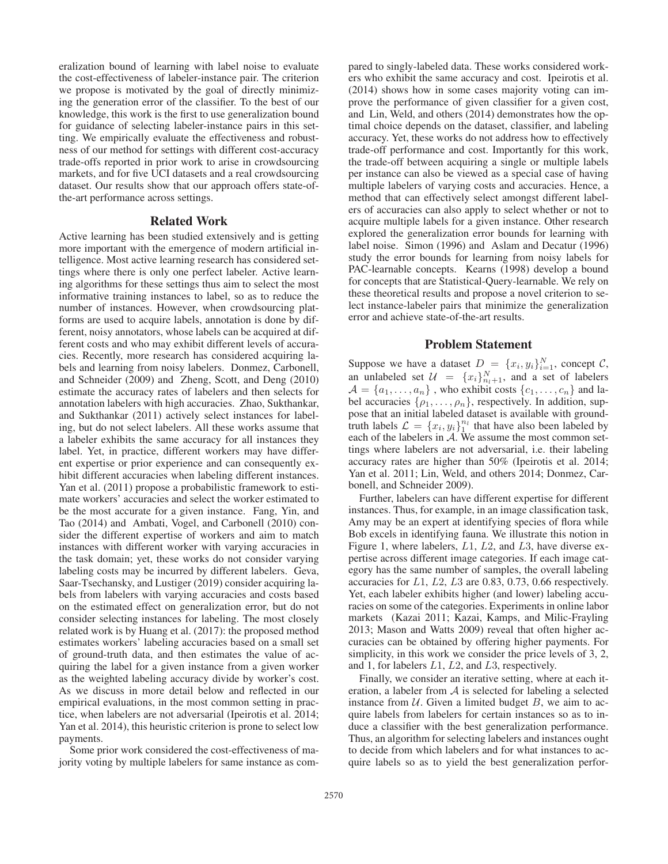eralization bound of learning with label noise to evaluate the cost-effectiveness of labeler-instance pair. The criterion we propose is motivated by the goal of directly minimizing the generation error of the classifier. To the best of our knowledge, this work is the first to use generalization bound for guidance of selecting labeler-instance pairs in this setting. We empirically evaluate the effectiveness and robustness of our method for settings with different cost-accuracy trade-offs reported in prior work to arise in crowdsourcing markets, and for five UCI datasets and a real crowdsourcing dataset. Our results show that our approach offers state-ofthe-art performance across settings.

# Related Work

Active learning has been studied extensively and is getting more important with the emergence of modern artificial intelligence. Most active learning research has considered settings where there is only one perfect labeler. Active learning algorithms for these settings thus aim to select the most informative training instances to label, so as to reduce the number of instances. However, when crowdsourcing platforms are used to acquire labels, annotation is done by different, noisy annotators, whose labels can be acquired at different costs and who may exhibit different levels of accuracies. Recently, more research has considered acquiring labels and learning from noisy labelers. Donmez, Carbonell, and Schneider (2009) and Zheng, Scott, and Deng (2010) estimate the accuracy rates of labelers and then selects for annotation labelers with high accuracies. Zhao, Sukthankar, and Sukthankar (2011) actively select instances for labeling, but do not select labelers. All these works assume that a labeler exhibits the same accuracy for all instances they label. Yet, in practice, different workers may have different expertise or prior experience and can consequently exhibit different accuracies when labeling different instances. Yan et al. (2011) propose a probabilistic framework to estimate workers' accuracies and select the worker estimated to be the most accurate for a given instance. Fang, Yin, and Tao (2014) and Ambati, Vogel, and Carbonell (2010) consider the different expertise of workers and aim to match instances with different worker with varying accuracies in the task domain; yet, these works do not consider varying labeling costs may be incurred by different labelers. Geva, Saar-Tsechansky, and Lustiger (2019) consider acquiring labels from labelers with varying accuracies and costs based on the estimated effect on generalization error, but do not consider selecting instances for labeling. The most closely related work is by Huang et al. (2017): the proposed method estimates workers' labeling accuracies based on a small set of ground-truth data, and then estimates the value of acquiring the label for a given instance from a given worker as the weighted labeling accuracy divide by worker's cost. As we discuss in more detail below and reflected in our empirical evaluations, in the most common setting in practice, when labelers are not adversarial (Ipeirotis et al. 2014; Yan et al. 2014), this heuristic criterion is prone to select low payments.

Some prior work considered the cost-effectiveness of majority voting by multiple labelers for same instance as compared to singly-labeled data. These works considered workers who exhibit the same accuracy and cost. Ipeirotis et al. (2014) shows how in some cases majority voting can improve the performance of given classifier for a given cost, and Lin, Weld, and others (2014) demonstrates how the optimal choice depends on the dataset, classifier, and labeling accuracy. Yet, these works do not address how to effectively trade-off performance and cost. Importantly for this work, the trade-off between acquiring a single or multiple labels per instance can also be viewed as a special case of having multiple labelers of varying costs and accuracies. Hence, a method that can effectively select amongst different labelers of accuracies can also apply to select whether or not to acquire multiple labels for a given instance. Other research explored the generalization error bounds for learning with label noise. Simon (1996) and Aslam and Decatur (1996) study the error bounds for learning from noisy labels for PAC-learnable concepts. Kearns (1998) develop a bound for concepts that are Statistical-Query-learnable. We rely on these theoretical results and propose a novel criterion to select instance-labeler pairs that minimize the generalization error and achieve state-of-the-art results.

# Problem Statement

Suppose we have a dataset  $D = \{x_i, y_i\}_{i=1}^N$ , concept C, an uplabeled set  $\mathcal{U} = \{x_i\}^N$  and a set of labelers an unlabeled set  $\mathcal{U} = \{x_i\}_{i=1}^N$ , and a set of labelers<br> $A = \{a_i\}$ , who exhibit costs  $\{c_i\}_{i=1}^N$  and la  $\mathcal{A} = \{a_1, \ldots, a_n\}$ , who exhibit costs  $\{c_1, \ldots, c_n\}$  and label accuracies  $\{\rho_1,\ldots,\rho_n\}$ , respectively. In addition, suppose that an initial labeled dataset is available with groundtruth labels  $\mathcal{L} = \{x_i, y_i\}_1^{n_l}$  that have also been labeled by each of the labelers in  $\mathcal{A}$  We assume the most common seteach of the labelers in A. We assume the most common settings where labelers are not adversarial, i.e. their labeling accuracy rates are higher than 50% (Ipeirotis et al. 2014; Yan et al. 2011; Lin, Weld, and others 2014; Donmez, Carbonell, and Schneider 2009).

Further, labelers can have different expertise for different instances. Thus, for example, in an image classification task, Amy may be an expert at identifying species of flora while Bob excels in identifying fauna. We illustrate this notion in Figure 1, where labelers, <sup>L</sup>1, <sup>L</sup>2, and <sup>L</sup>3, have diverse expertise across different image categories. If each image category has the same number of samples, the overall labeling accuracies for <sup>L</sup>1, <sup>L</sup>2, <sup>L</sup>3 are 0.83, 0.73, 0.66 respectively. Yet, each labeler exhibits higher (and lower) labeling accuracies on some of the categories. Experiments in online labor markets (Kazai 2011; Kazai, Kamps, and Milic-Frayling 2013; Mason and Watts 2009) reveal that often higher accuracies can be obtained by offering higher payments. For simplicity, in this work we consider the price levels of 3, 2, and 1, for labelers <sup>L</sup>1, <sup>L</sup>2, and <sup>L</sup>3, respectively.

Finally, we consider an iterative setting, where at each iteration, a labeler from  $A$  is selected for labeling a selected instance from  $U$ . Given a limited budget  $B$ , we aim to acquire labels from labelers for certain instances so as to induce a classifier with the best generalization performance. Thus, an algorithm for selecting labelers and instances ought to decide from which labelers and for what instances to acquire labels so as to yield the best generalization perfor-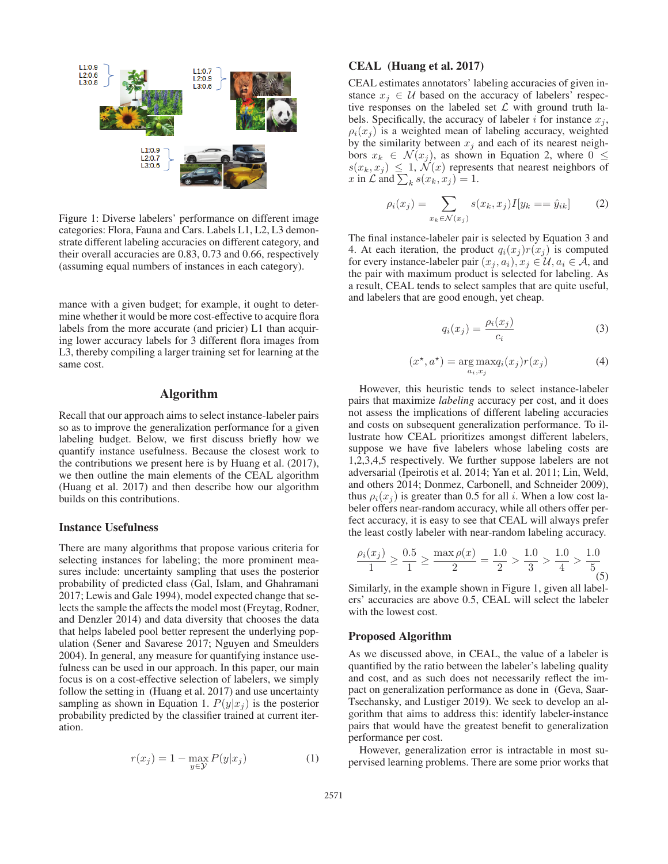

Figure 1: Diverse labelers' performance on different image categories: Flora, Fauna and Cars. Labels L1, L2, L3 demonstrate different labeling accuracies on different category, and their overall accuracies are 0.83, 0.73 and 0.66, respectively (assuming equal numbers of instances in each category).

mance with a given budget; for example, it ought to determine whether it would be more cost-effective to acquire flora labels from the more accurate (and pricier) L1 than acquiring lower accuracy labels for 3 different flora images from L3, thereby compiling a larger training set for learning at the same cost.

# Algorithm

Recall that our approach aims to select instance-labeler pairs so as to improve the generalization performance for a given labeling budget. Below, we first discuss briefly how we quantify instance usefulness. Because the closest work to the contributions we present here is by Huang et al. (2017), we then outline the main elements of the CEAL algorithm (Huang et al. 2017) and then describe how our algorithm builds on this contributions.

# Instance Usefulness

There are many algorithms that propose various criteria for selecting instances for labeling; the more prominent measures include: uncertainty sampling that uses the posterior probability of predicted class (Gal, Islam, and Ghahramani 2017; Lewis and Gale 1994), model expected change that selects the sample the affects the model most (Freytag, Rodner, and Denzler 2014) and data diversity that chooses the data that helps labeled pool better represent the underlying population (Sener and Savarese 2017; Nguyen and Smeulders 2004). In general, any measure for quantifying instance usefulness can be used in our approach. In this paper, our main focus is on a cost-effective selection of labelers, we simply follow the setting in (Huang et al. 2017) and use uncertainty sampling as shown in Equation 1.  $P(y|x_i)$  is the posterior probability predicted by the classifier trained at current iteration.

$$
r(x_j) = 1 - \max_{y \in \mathcal{Y}} P(y|x_j)
$$
 (1)

#### CEAL (Huang et al. 2017)

CEAL estimates annotators' labeling accuracies of given instance  $x_i \in U$  based on the accuracy of labelers' respective responses on the labeled set  $\mathcal L$  with ground truth labels. Specifically, the accuracy of labeler i for instance  $x_j$ ,  $\rho_i(x_i)$  is a weighted mean of labeling accuracy, weighted by the similarity between  $x_j$  and each of its nearest neighbors  $x_k \in \mathcal{N}(x_j)$ , as shown in Equation 2, where  $0 \leq$  $s(x_k, x_j) \leq 1$ ,  $\mathcal{N}(x)$  represents that nearest neighbors of x in  $\mathcal{L}$  and  $\sum_k s(x_k, x_j) = 1$ .

$$
\rho_i(x_j) = \sum_{x_k \in \mathcal{N}(x_j)} s(x_k, x_j) I[y_k == \hat{y}_{ik}] \tag{2}
$$

The final instance-labeler pair is selected by Equation 3 and 4. At each iteration, the product  $q_i(x_j) r(x_j)$  is computed for every instance-labeler pair  $(x_j, a_i), x_j \in \mathcal{U}, a_i \in \mathcal{A}$ , and the pair with maximum product is selected for labeling. As a result, CEAL tends to select samples that are quite useful, and labelers that are good enough, yet cheap.

$$
q_i(x_j) = \frac{\rho_i(x_j)}{c_i} \tag{3}
$$

$$
(x^*, a^*) = \underset{a_i, x_j}{\arg \max} q_i(x_j) r(x_j)
$$
 (4)

However, this heuristic tends to select instance-labeler pairs that maximize *labeling* accuracy per cost, and it does not assess the implications of different labeling accuracies and costs on subsequent generalization performance. To illustrate how CEAL prioritizes amongst different labelers, suppose we have five labelers whose labeling costs are 1,2,3,4,5 respectively. We further suppose labelers are not adversarial (Ipeirotis et al. 2014; Yan et al. 2011; Lin, Weld, and others 2014; Donmez, Carbonell, and Schneider 2009), thus  $\rho_i(x_i)$  is greater than 0.5 for all i. When a low cost labeler offers near-random accuracy, while all others offer perfect accuracy, it is easy to see that CEAL will always prefer the least costly labeler with near-random labeling accuracy.

$$
\frac{\rho_i(x_j)}{1} \ge \frac{0.5}{1} \ge \frac{\max \rho(x)}{2} = \frac{1.0}{2} > \frac{1.0}{3} > \frac{1.0}{4} > \frac{1.0}{5}
$$

Similarly, in the example shown in Figure 1, given all labelers' accuracies are above 0.5, CEAL will select the labeler with the lowest cost.

#### Proposed Algorithm

As we discussed above, in CEAL, the value of a labeler is quantified by the ratio between the labeler's labeling quality and cost, and as such does not necessarily reflect the impact on generalization performance as done in (Geva, Saar-Tsechansky, and Lustiger 2019). We seek to develop an algorithm that aims to address this: identify labeler-instance pairs that would have the greatest benefit to generalization performance per cost.

However, generalization error is intractable in most supervised learning problems. There are some prior works that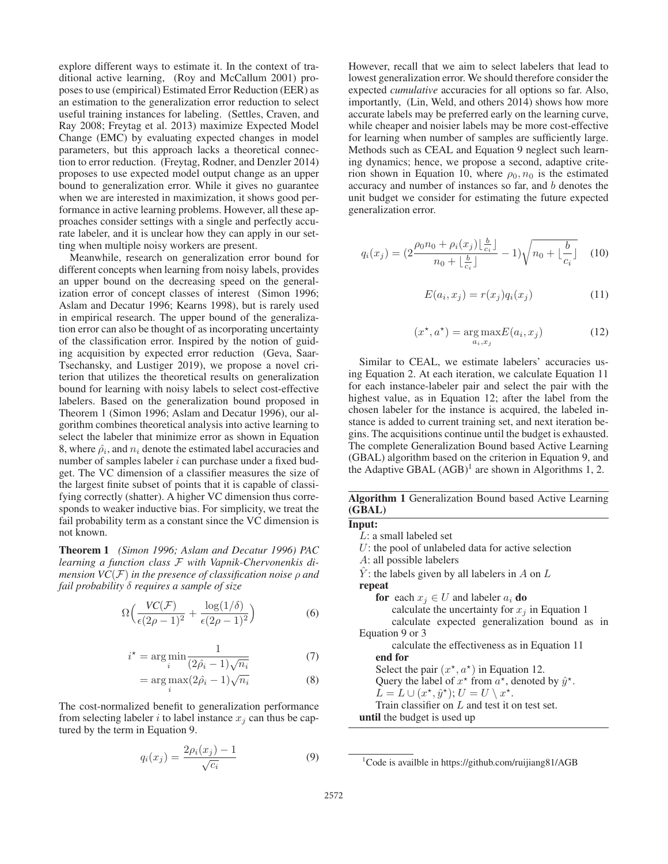explore different ways to estimate it. In the context of traditional active learning, (Roy and McCallum 2001) proposes to use (empirical) Estimated Error Reduction (EER) as an estimation to the generalization error reduction to select useful training instances for labeling. (Settles, Craven, and Ray 2008; Freytag et al. 2013) maximize Expected Model Change (EMC) by evaluating expected changes in model parameters, but this approach lacks a theoretical connection to error reduction. (Freytag, Rodner, and Denzler 2014) proposes to use expected model output change as an upper bound to generalization error. While it gives no guarantee when we are interested in maximization, it shows good performance in active learning problems. However, all these approaches consider settings with a single and perfectly accurate labeler, and it is unclear how they can apply in our setting when multiple noisy workers are present.

Meanwhile, research on generalization error bound for different concepts when learning from noisy labels, provides an upper bound on the decreasing speed on the generalization error of concept classes of interest (Simon 1996; Aslam and Decatur 1996; Kearns 1998), but is rarely used in empirical research. The upper bound of the generalization error can also be thought of as incorporating uncertainty of the classification error. Inspired by the notion of guiding acquisition by expected error reduction (Geva, Saar-Tsechansky, and Lustiger 2019), we propose a novel criterion that utilizes the theoretical results on generalization bound for learning with noisy labels to select cost-effective labelers. Based on the generalization bound proposed in Theorem 1 (Simon 1996; Aslam and Decatur 1996), our algorithm combines theoretical analysis into active learning to select the labeler that minimize error as shown in Equation 8, where  $\hat{\rho}_i$ , and  $n_i$  denote the estimated label accuracies and number of samples labeler i can purchase under a fixed budget. The VC dimension of a classifier measures the size of the largest finite subset of points that it is capable of classifying correctly (shatter). A higher VC dimension thus corresponds to weaker inductive bias. For simplicity, we treat the fail probability term as a constant since the VC dimension is not known.

Theorem 1 *(Simon 1996; Aslam and Decatur 1996) PAC learning a function class* F *with Vapnik-Chervonenkis dimension VC*(F) *in the presence of classification noise* <sup>ρ</sup> *and fail probability* δ *requires a sample of size*

$$
\Omega\Big(\frac{VC(\mathcal{F})}{\epsilon(2\rho-1)^2} + \frac{\log(1/\delta)}{\epsilon(2\rho-1)^2}\Big) \tag{6}
$$

$$
i^* = \arg\min_{i} \frac{1}{(2\hat{\rho}_i - 1)\sqrt{n_i}} \tag{7}
$$

$$
= \arg \max_{i} (2\hat{\rho}_i - 1)\sqrt{n_i} \tag{8}
$$

The cost-normalized benefit to generalization performance from selecting labeler i to label instance  $x_i$  can thus be captured by the term in Equation 9.

$$
q_i(x_j) = \frac{2\rho_i(x_j) - 1}{\sqrt{c_i}}\tag{9}
$$

However, recall that we aim to select labelers that lead to lowest generalization error. We should therefore consider the expected *cumulative* accuracies for all options so far. Also, importantly, (Lin, Weld, and others 2014) shows how more accurate labels may be preferred early on the learning curve, while cheaper and noisier labels may be more cost-effective for learning when number of samples are sufficiently large. Methods such as CEAL and Equation 9 neglect such learning dynamics; hence, we propose a second, adaptive criterion shown in Equation 10, where  $\rho_0$ ,  $n_0$  is the estimated accuracy and number of instances so far, and b denotes the unit budget we consider for estimating the future expected generalization error.

$$
q_i(x_j) = \left(2\frac{\rho_0 n_0 + \rho_i(x_j)\lfloor\frac{b}{c_i}\rfloor}{n_0 + \lfloor\frac{b}{c_i}\rfloor} - 1\right)\sqrt{n_0 + \lfloor\frac{b}{c_i}\rfloor} \quad (10)
$$

$$
E(a_i, x_j) = r(x_j)q_i(x_j)
$$
\n(11)

$$
(x^*, a^*) = \underset{a_i, x_j}{\text{arg max}} E(a_i, x_j)
$$
 (12)

Similar to CEAL, we estimate labelers' accuracies using Equation 2. At each iteration, we calculate Equation 11 for each instance-labeler pair and select the pair with the highest value, as in Equation 12; after the label from the chosen labeler for the instance is acquired, the labeled instance is added to current training set, and next iteration begins. The acquisitions continue until the budget is exhausted. The complete Generalization Bound based Active Learning (GBAL) algorithm based on the criterion in Equation 9, and the Adaptive GBAL  $(AGB)^1$  are shown in Algorithms 1, 2.

Algorithm 1 Generalization Bound based Active Learning (GBAL)

<sup>&</sup>lt;sup>1</sup>Code is availble in https://github.com/ruijiang81/AGB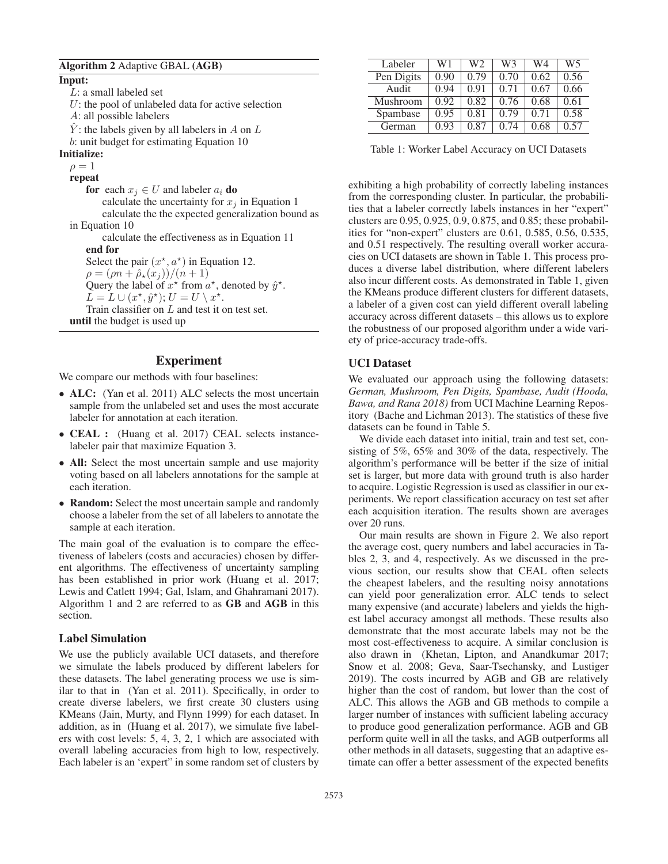# Algorithm 2 Adaptive GBAL (AGB)

Input: L: a small labeled set  $U$ : the pool of unlabeled data for active selection A: all possible labelers  $\hat{Y}$ : the labels given by all labelers in A on L b: unit budget for estimating Equation 10 Initialize:  $\rho=1$ repeat for each  $x_i \in U$  and labeler  $a_i$  do calculate the uncertainty for  $x_i$  in Equation 1 calculate the the expected generalization bound as in Equation 10 calculate the effectiveness as in Equation 11 end for Select the pair  $(x^*, a^*)$  in Equation 12.<br>  $\rho = (an + \hat{\rho}_*(x)) / (n + 1)$  $\rho = (\rho n + \hat{\rho}_\star(x_j)) / (n+1)$ <br>Ouery the label of  $x^*$  from a Query the label of  $x^*$  from  $a^*$ , denoted by  $\hat{y}^*$ .<br>  $\overline{L} = L \cup (x^* \hat{y}^*) \cdot U = U \setminus x^*$  $L = L \cup (x^*, \hat{y}^*); U = U \setminus x^*.$ <br>Train classifier on L and test it  $\alpha$ Train classifier on L and test it on test set. until the budget is used up

# Experiment

We compare our methods with four baselines:

- ALC: (Yan et al. 2011) ALC selects the most uncertain sample from the unlabeled set and uses the most accurate labeler for annotation at each iteration.
- **CEAL** : (Huang et al. 2017) CEAL selects instancelabeler pair that maximize Equation 3.
- All: Select the most uncertain sample and use majority voting based on all labelers annotations for the sample at each iteration.
- Random: Select the most uncertain sample and randomly choose a labeler from the set of all labelers to annotate the sample at each iteration.

The main goal of the evaluation is to compare the effectiveness of labelers (costs and accuracies) chosen by different algorithms. The effectiveness of uncertainty sampling has been established in prior work (Huang et al. 2017; Lewis and Catlett 1994; Gal, Islam, and Ghahramani 2017). Algorithm 1 and 2 are referred to as GB and AGB in this section.

#### Label Simulation

We use the publicly available UCI datasets, and therefore we simulate the labels produced by different labelers for these datasets. The label generating process we use is similar to that in (Yan et al. 2011). Specifically, in order to create diverse labelers, we first create 30 clusters using KMeans (Jain, Murty, and Flynn 1999) for each dataset. In addition, as in (Huang et al. 2017), we simulate five labelers with cost levels: 5, 4, 3, 2, 1 which are associated with overall labeling accuracies from high to low, respectively. Each labeler is an 'expert" in some random set of clusters by

| Labeler    | W1   | W2   | W3   | W4   | W5   |
|------------|------|------|------|------|------|
| Pen Digits | 0.90 | 0.79 | 0.70 | 0.62 | 0.56 |
| Audit      | 0.94 | 0.91 | 0.71 | 0.67 | 0.66 |
| Mushroom   | 0.92 | 0.82 | 0.76 | 0.68 | 0.61 |
| Spambase   | 0.95 | 0.81 | 0.79 | 0.71 | 0.58 |
| German     | 0.93 | 0.87 | 0.74 | 0.68 | 0.57 |

Table 1: Worker Label Accuracy on UCI Datasets

exhibiting a high probability of correctly labeling instances from the corresponding cluster. In particular, the probabilities that a labeler correctly labels instances in her "expert" clusters are 0.95, 0.925, 0.9, 0.875, and 0.85; these probabilities for "non-expert" clusters are 0.61, 0.585, 0.56, 0.535, and 0.51 respectively. The resulting overall worker accuracies on UCI datasets are shown in Table 1. This process produces a diverse label distribution, where different labelers also incur different costs. As demonstrated in Table 1, given the KMeans produce different clusters for different datasets, a labeler of a given cost can yield different overall labeling accuracy across different datasets – this allows us to explore the robustness of our proposed algorithm under a wide variety of price-accuracy trade-offs.

# UCI Dataset

We evaluated our approach using the following datasets: *German, Mushroom, Pen Digits, Spambase, Audit (Hooda, Bawa, and Rana 2018)* from UCI Machine Learning Repository (Bache and Lichman 2013). The statistics of these five datasets can be found in Table 5.

We divide each dataset into initial, train and test set, consisting of 5%, 65% and 30% of the data, respectively. The algorithm's performance will be better if the size of initial set is larger, but more data with ground truth is also harder to acquire. Logistic Regression is used as classifier in our experiments. We report classification accuracy on test set after each acquisition iteration. The results shown are averages over 20 runs.

Our main results are shown in Figure 2. We also report the average cost, query numbers and label accuracies in Tables 2, 3, and 4, respectively. As we discussed in the previous section, our results show that CEAL often selects the cheapest labelers, and the resulting noisy annotations can yield poor generalization error. ALC tends to select many expensive (and accurate) labelers and yields the highest label accuracy amongst all methods. These results also demonstrate that the most accurate labels may not be the most cost-effectiveness to acquire. A similar conclusion is also drawn in (Khetan, Lipton, and Anandkumar 2017; Snow et al. 2008; Geva, Saar-Tsechansky, and Lustiger 2019). The costs incurred by AGB and GB are relatively higher than the cost of random, but lower than the cost of ALC. This allows the AGB and GB methods to compile a larger number of instances with sufficient labeling accuracy to produce good generalization performance. AGB and GB perform quite well in all the tasks, and AGB outperforms all other methods in all datasets, suggesting that an adaptive estimate can offer a better assessment of the expected benefits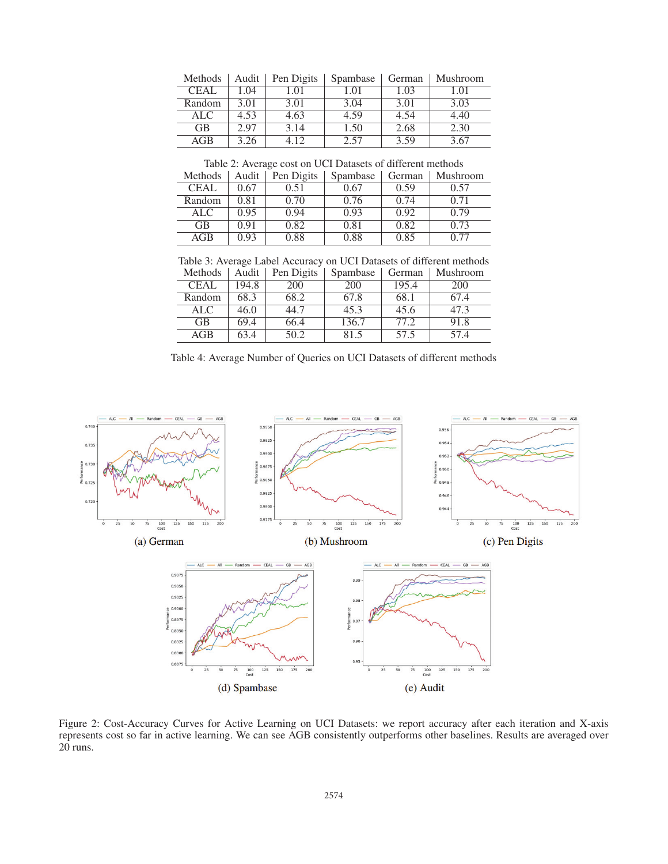| Methods     | Audit | Pen Digits | Spambase | German | Mushroom |
|-------------|-------|------------|----------|--------|----------|
| <b>CEAL</b> | 1.04  | 1.01       | 1.01     | 1.03   | 1.01     |
| Random      | 3.01  | 3.01       | 3.04     | 3.01   | 3.03     |
| ALC.        | 4.53  | 4.63       | 4.59     | 4.54   | 4.40     |
| <b>GB</b>   | 2.97  | 3.14       | 1.50     | 2.68   | 2.30     |
| AGB         | 3.26  | 112        | 2.57     | 3.59   | 3.67     |

Table 2: Average cost on UCI Datasets of different methods

| Methods    | Audit | Pen Digits | Spambase | German | Mushroom |
|------------|-------|------------|----------|--------|----------|
| CEAL       | 0.67  | 0.51       | 0.67     | 0.59   | 0.57     |
| Random     | 0.81  | 0.70       | 0.76     | 0.74   | 0.71     |
| <b>ALC</b> | 0.95  | 0.94       | 0.93     | 0.92   | 0.79     |
| <b>GB</b>  | 0.91  | 0.82       | 0.81     | 0.82   | 0.73     |
| AGB        | 0.93  | 0.88       | 0.88     | 0.85   |          |

Table 3: Average Label Accuracy on UCI Datasets of different methods

| Methods     | Audit | Pen Digits | Spambase | German | Mushroom   |
|-------------|-------|------------|----------|--------|------------|
| <b>CEAL</b> | 194.8 | 200        | 200      | 195.4  | <b>200</b> |
| Random      | 68.3  | 68.2       | 67.8     | 68.1   | 67.4       |
| ALC.        | 46.0  | 44.7       | 45.3     | 45.6   | 47.3       |
| <b>GB</b>   | 69.4  | 66.4       | 136.7    | 77.2   | 91.8       |
| AGB         | 63.4  | 50.2       | 81.5     | 57.5   | 57.4       |

Table 4: Average Number of Queries on UCI Datasets of different methods



Figure 2: Cost-Accuracy Curves for Active Learning on UCI Datasets: we report accuracy after each iteration and X-axis represents cost so far in active learning. We can see AGB consistently outperforms other baselines. Results are averaged over 20 runs.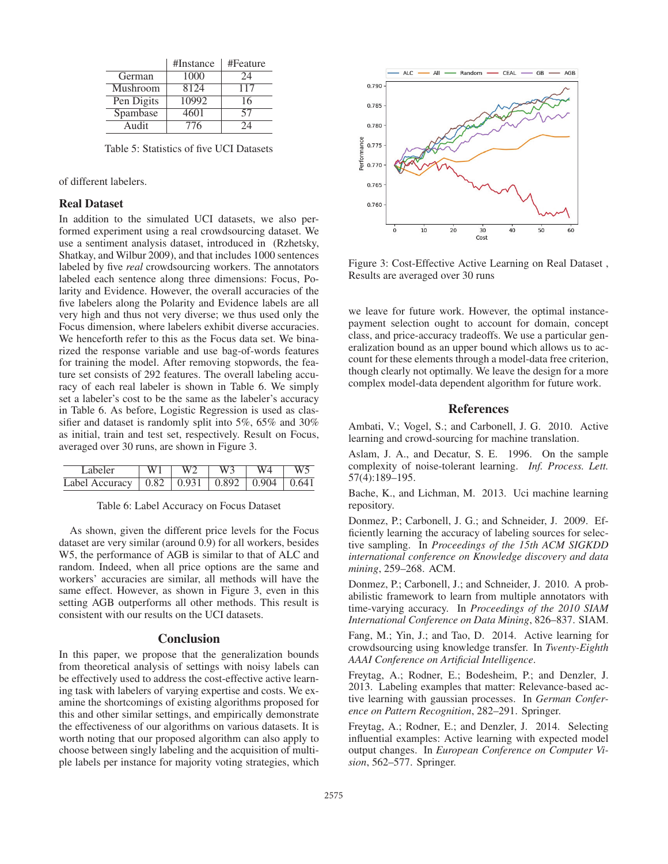|            | $\#Instance$ | #Feature |
|------------|--------------|----------|
| German     | 1000         | 24       |
| Mushroom   | 8124         | 117      |
| Pen Digits | 10992        | 16       |
| Spambase   | 4601         | 57       |
| Audit      | 776          | 2Λ       |

Table 5: Statistics of five UCI Datasets

of different labelers.

# Real Dataset

In addition to the simulated UCI datasets, we also performed experiment using a real crowdsourcing dataset. We use a sentiment analysis dataset, introduced in (Rzhetsky, Shatkay, and Wilbur 2009), and that includes 1000 sentences labeled by five *real* crowdsourcing workers. The annotators labeled each sentence along three dimensions: Focus, Polarity and Evidence. However, the overall accuracies of the five labelers along the Polarity and Evidence labels are all very high and thus not very diverse; we thus used only the Focus dimension, where labelers exhibit diverse accuracies. We henceforth refer to this as the Focus data set. We binarized the response variable and use bag-of-words features for training the model. After removing stopwords, the feature set consists of 292 features. The overall labeling accuracy of each real labeler is shown in Table 6. We simply set a labeler's cost to be the same as the labeler's accuracy in Table 6. As before, Logistic Regression is used as classifier and dataset is randomly split into 5%, 65% and 30% as initial, train and test set, respectively. Result on Focus, averaged over 30 runs, are shown in Figure 3.

| Labeler                                               |  | W3 |  |
|-------------------------------------------------------|--|----|--|
| Label Accuracy   0.82   0.931   0.892   0.904   0.641 |  |    |  |

Table 6: Label Accuracy on Focus Dataset

As shown, given the different price levels for the Focus dataset are very similar (around 0.9) for all workers, besides W5, the performance of AGB is similar to that of ALC and random. Indeed, when all price options are the same and workers' accuracies are similar, all methods will have the same effect. However, as shown in Figure 3, even in this setting AGB outperforms all other methods. This result is consistent with our results on the UCI datasets.

#### Conclusion

In this paper, we propose that the generalization bounds from theoretical analysis of settings with noisy labels can be effectively used to address the cost-effective active learning task with labelers of varying expertise and costs. We examine the shortcomings of existing algorithms proposed for this and other similar settings, and empirically demonstrate the effectiveness of our algorithms on various datasets. It is worth noting that our proposed algorithm can also apply to choose between singly labeling and the acquisition of multiple labels per instance for majority voting strategies, which



Figure 3: Cost-Effective Active Learning on Real Dataset , Results are averaged over 30 runs

we leave for future work. However, the optimal instancepayment selection ought to account for domain, concept class, and price-accuracy tradeoffs. We use a particular generalization bound as an upper bound which allows us to account for these elements through a model-data free criterion, though clearly not optimally. We leave the design for a more complex model-data dependent algorithm for future work.

### **References**

Ambati, V.; Vogel, S.; and Carbonell, J. G. 2010. Active learning and crowd-sourcing for machine translation.

Aslam, J. A., and Decatur, S. E. 1996. On the sample complexity of noise-tolerant learning. *Inf. Process. Lett.* 57(4):189–195.

Bache, K., and Lichman, M. 2013. Uci machine learning repository.

Donmez, P.; Carbonell, J. G.; and Schneider, J. 2009. Efficiently learning the accuracy of labeling sources for selective sampling. In *Proceedings of the 15th ACM SIGKDD international conference on Knowledge discovery and data mining*, 259–268. ACM.

Donmez, P.; Carbonell, J.; and Schneider, J. 2010. A probabilistic framework to learn from multiple annotators with time-varying accuracy. In *Proceedings of the 2010 SIAM International Conference on Data Mining*, 826–837. SIAM.

Fang, M.; Yin, J.; and Tao, D. 2014. Active learning for crowdsourcing using knowledge transfer. In *Twenty-Eighth AAAI Conference on Artificial Intelligence*.

Freytag, A.; Rodner, E.; Bodesheim, P.; and Denzler, J. 2013. Labeling examples that matter: Relevance-based active learning with gaussian processes. In *German Conference on Pattern Recognition*, 282–291. Springer.

Freytag, A.; Rodner, E.; and Denzler, J. 2014. Selecting influential examples: Active learning with expected model output changes. In *European Conference on Computer Vision*, 562–577. Springer.